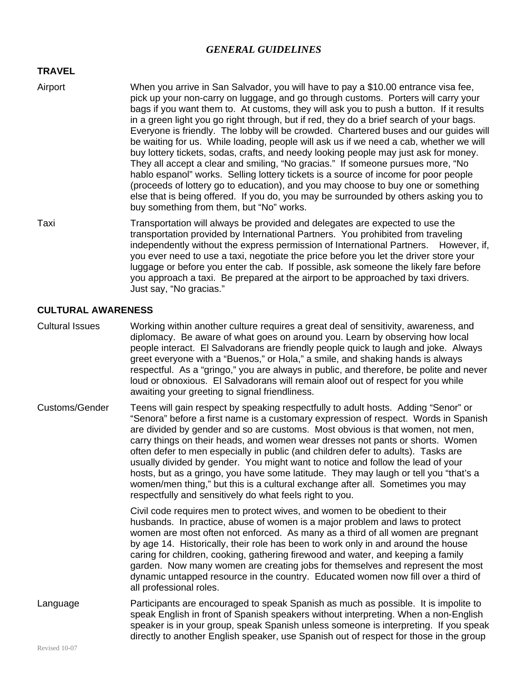## *GENERAL GUIDELINES*

## **TRAVEL**

- Airport When you arrive in San Salvador, you will have to pay a \$10.00 entrance visa fee, pick up your non-carry on luggage, and go through customs. Porters will carry your bags if you want them to. At customs, they will ask you to push a button. If it results in a green light you go right through, but if red, they do a brief search of your bags. Everyone is friendly. The lobby will be crowded. Chartered buses and our guides will be waiting for us. While loading, people will ask us if we need a cab, whether we will buy lottery tickets, sodas, crafts, and needy looking people may just ask for money. They all accept a clear and smiling, "No gracias." If someone pursues more, "No hablo espanol" works. Selling lottery tickets is a source of income for poor people (proceeds of lottery go to education), and you may choose to buy one or something else that is being offered. If you do, you may be surrounded by others asking you to buy something from them, but "No" works.
- Taxi Transportation will always be provided and delegates are expected to use the transportation provided by International Partners. You prohibited from traveling independently without the express permission of International Partners. However, if, you ever need to use a taxi, negotiate the price before you let the driver store your luggage or before you enter the cab. If possible, ask someone the likely fare before you approach a taxi. Be prepared at the airport to be approached by taxi drivers. Just say, "No gracias."

## **CULTURAL AWARENESS**

- Cultural Issues Working within another culture requires a great deal of sensitivity, awareness, and diplomacy. Be aware of what goes on around you. Learn by observing how local people interact. El Salvadorans are friendly people quick to laugh and joke. Always greet everyone with a "Buenos," or Hola," a smile, and shaking hands is always respectful. As a "gringo," you are always in public, and therefore, be polite and never loud or obnoxious. El Salvadorans will remain aloof out of respect for you while awaiting your greeting to signal friendliness.
- Customs/Gender Teens will gain respect by speaking respectfully to adult hosts. Adding "Senor" or "Senora" before a first name is a customary expression of respect. Words in Spanish are divided by gender and so are customs. Most obvious is that women, not men, carry things on their heads, and women wear dresses not pants or shorts. Women often defer to men especially in public (and children defer to adults). Tasks are usually divided by gender. You might want to notice and follow the lead of your hosts, but as a gringo, you have some latitude. They may laugh or tell you "that's a women/men thing," but this is a cultural exchange after all. Sometimes you may respectfully and sensitively do what feels right to you.

Civil code requires men to protect wives, and women to be obedient to their husbands. In practice, abuse of women is a major problem and laws to protect women are most often not enforced. As many as a third of all women are pregnant by age 14. Historically, their role has been to work only in and around the house caring for children, cooking, gathering firewood and water, and keeping a family garden. Now many women are creating jobs for themselves and represent the most dynamic untapped resource in the country. Educated women now fill over a third of all professional roles.

Language **Participants are encouraged to speak Spanish as much as possible.** It is impolite to speak English in front of Spanish speakers without interpreting. When a non-English speaker is in your group, speak Spanish unless someone is interpreting. If you speak directly to another English speaker, use Spanish out of respect for those in the group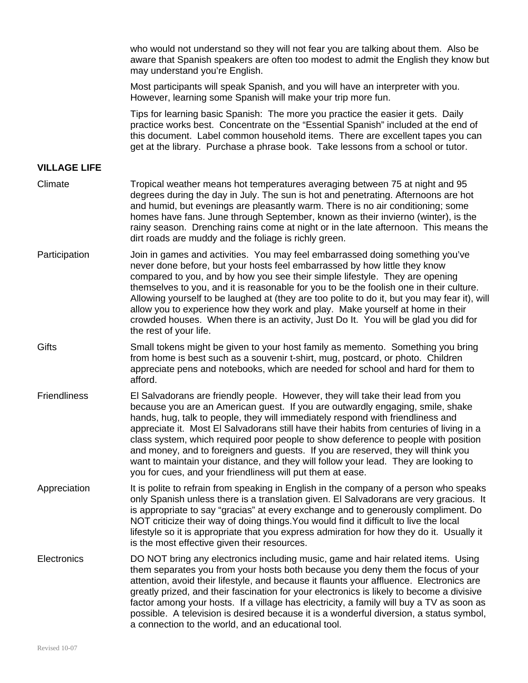|                     | who would not understand so they will not fear you are talking about them. Also be<br>aware that Spanish speakers are often too modest to admit the English they know but<br>may understand you're English.                                                                                                                                                                                                                                                                                                                                                                                                                                                                      |
|---------------------|----------------------------------------------------------------------------------------------------------------------------------------------------------------------------------------------------------------------------------------------------------------------------------------------------------------------------------------------------------------------------------------------------------------------------------------------------------------------------------------------------------------------------------------------------------------------------------------------------------------------------------------------------------------------------------|
|                     | Most participants will speak Spanish, and you will have an interpreter with you.<br>However, learning some Spanish will make your trip more fun.                                                                                                                                                                                                                                                                                                                                                                                                                                                                                                                                 |
|                     | Tips for learning basic Spanish: The more you practice the easier it gets. Daily<br>practice works best. Concentrate on the "Essential Spanish" included at the end of<br>this document. Label common household items. There are excellent tapes you can<br>get at the library. Purchase a phrase book. Take lessons from a school or tutor.                                                                                                                                                                                                                                                                                                                                     |
| <b>VILLAGE LIFE</b> |                                                                                                                                                                                                                                                                                                                                                                                                                                                                                                                                                                                                                                                                                  |
| Climate             | Tropical weather means hot temperatures averaging between 75 at night and 95<br>degrees during the day in July. The sun is hot and penetrating. Afternoons are hot<br>and humid, but evenings are pleasantly warm. There is no air conditioning; some<br>homes have fans. June through September, known as their invierno (winter), is the<br>rainy season. Drenching rains come at night or in the late afternoon. This means the<br>dirt roads are muddy and the foliage is richly green.                                                                                                                                                                                      |
| Participation       | Join in games and activities. You may feel embarrassed doing something you've<br>never done before, but your hosts feel embarrassed by how little they know<br>compared to you, and by how you see their simple lifestyle. They are opening<br>themselves to you, and it is reasonable for you to be the foolish one in their culture.<br>Allowing yourself to be laughed at (they are too polite to do it, but you may fear it), will<br>allow you to experience how they work and play. Make yourself at home in their<br>crowded houses. When there is an activity, Just Do It. You will be glad you did for<br>the rest of your life.                                        |
| Gifts               | Small tokens might be given to your host family as memento. Something you bring<br>from home is best such as a souvenir t-shirt, mug, postcard, or photo. Children<br>appreciate pens and notebooks, which are needed for school and hard for them to<br>afford.                                                                                                                                                                                                                                                                                                                                                                                                                 |
| <b>Friendliness</b> | El Salvadorans are friendly people. However, they will take their lead from you<br>because you are an American guest. If you are outwardly engaging, smile, shake<br>hands, hug, talk to people, they will immediately respond with friendliness and<br>appreciate it. Most El Salvadorans still have their habits from centuries of living in a<br>class system, which required poor people to show deference to people with position<br>and money, and to foreigners and guests. If you are reserved, they will think you<br>want to maintain your distance, and they will follow your lead. They are looking to<br>you for cues, and your friendliness will put them at ease. |
| Appreciation        | It is polite to refrain from speaking in English in the company of a person who speaks<br>only Spanish unless there is a translation given. El Salvadorans are very gracious. It<br>is appropriate to say "gracias" at every exchange and to generously compliment. Do<br>NOT criticize their way of doing things. You would find it difficult to live the local<br>lifestyle so it is appropriate that you express admiration for how they do it. Usually it<br>is the most effective given their resources.                                                                                                                                                                    |
| Electronics         | DO NOT bring any electronics including music, game and hair related items. Using<br>them separates you from your hosts both because you deny them the focus of your<br>attention, avoid their lifestyle, and because it flaunts your affluence. Electronics are<br>greatly prized, and their fascination for your electronics is likely to become a divisive<br>factor among your hosts. If a village has electricity, a family will buy a TV as soon as<br>possible. A television is desired because it is a wonderful diversion, a status symbol,<br>a connection to the world, and an educational tool.                                                                       |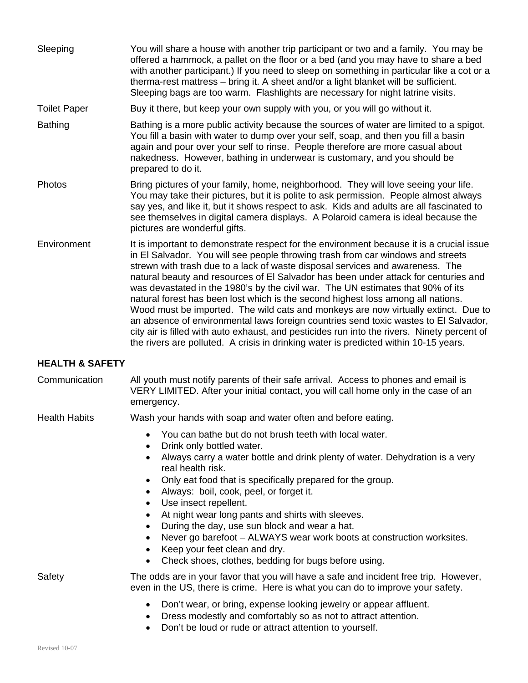| Sleeping                   | You will share a house with another trip participant or two and a family. You may be<br>offered a hammock, a pallet on the floor or a bed (and you may have to share a bed<br>with another participant.) If you need to sleep on something in particular like a cot or a<br>therma-rest mattress - bring it. A sheet and/or a light blanket will be sufficient.<br>Sleeping bags are too warm. Flashlights are necessary for night latrine visits.                                                                                                                                                                                                                                                                                                                                                                                                                                              |
|----------------------------|-------------------------------------------------------------------------------------------------------------------------------------------------------------------------------------------------------------------------------------------------------------------------------------------------------------------------------------------------------------------------------------------------------------------------------------------------------------------------------------------------------------------------------------------------------------------------------------------------------------------------------------------------------------------------------------------------------------------------------------------------------------------------------------------------------------------------------------------------------------------------------------------------|
| <b>Toilet Paper</b>        | Buy it there, but keep your own supply with you, or you will go without it.                                                                                                                                                                                                                                                                                                                                                                                                                                                                                                                                                                                                                                                                                                                                                                                                                     |
| <b>Bathing</b>             | Bathing is a more public activity because the sources of water are limited to a spigot.<br>You fill a basin with water to dump over your self, soap, and then you fill a basin<br>again and pour over your self to rinse. People therefore are more casual about<br>nakedness. However, bathing in underwear is customary, and you should be<br>prepared to do it.                                                                                                                                                                                                                                                                                                                                                                                                                                                                                                                              |
| Photos                     | Bring pictures of your family, home, neighborhood. They will love seeing your life.<br>You may take their pictures, but it is polite to ask permission. People almost always<br>say yes, and like it, but it shows respect to ask. Kids and adults are all fascinated to<br>see themselves in digital camera displays. A Polaroid camera is ideal because the<br>pictures are wonderful gifts.                                                                                                                                                                                                                                                                                                                                                                                                                                                                                                  |
| Environment                | It is important to demonstrate respect for the environment because it is a crucial issue<br>in El Salvador. You will see people throwing trash from car windows and streets<br>strewn with trash due to a lack of waste disposal services and awareness. The<br>natural beauty and resources of EI Salvador has been under attack for centuries and<br>was devastated in the 1980's by the civil war. The UN estimates that 90% of its<br>natural forest has been lost which is the second highest loss among all nations.<br>Wood must be imported. The wild cats and monkeys are now virtually extinct. Due to<br>an absence of environmental laws foreign countries send toxic wastes to El Salvador,<br>city air is filled with auto exhaust, and pesticides run into the rivers. Ninety percent of<br>the rivers are polluted. A crisis in drinking water is predicted within 10-15 years. |
| <b>HEALTH &amp; SAFETY</b> |                                                                                                                                                                                                                                                                                                                                                                                                                                                                                                                                                                                                                                                                                                                                                                                                                                                                                                 |
| Communication              | All youth must notify parents of their safe arrival. Access to phones and email is<br>VERY LIMITED. After your initial contact, you will call home only in the case of an<br>emergency.                                                                                                                                                                                                                                                                                                                                                                                                                                                                                                                                                                                                                                                                                                         |
| <b>Health Habits</b>       | Wash your hands with soap and water often and before eating.                                                                                                                                                                                                                                                                                                                                                                                                                                                                                                                                                                                                                                                                                                                                                                                                                                    |
|                            | You can bathe but do not brush teeth with local water.<br>Drink only bottled water.                                                                                                                                                                                                                                                                                                                                                                                                                                                                                                                                                                                                                                                                                                                                                                                                             |
|                            | Always carry a water bottle and drink plenty of water. Dehydration is a very<br>real health risk.<br>Only eat food that is specifically prepared for the group.<br>٠<br>Always: boil, cook, peel, or forget it.<br>$\bullet$<br>Use insect repellent.<br>٠<br>At night wear long pants and shirts with sleeves.<br>٠<br>During the day, use sun block and wear a hat.<br>$\bullet$<br>Never go barefoot - ALWAYS wear work boots at construction worksites.<br>Keep your feet clean and dry.<br>Check shoes, clothes, bedding for bugs before using.<br>$\bullet$                                                                                                                                                                                                                                                                                                                               |
| Safety                     | The odds are in your favor that you will have a safe and incident free trip. However,<br>even in the US, there is crime. Here is what you can do to improve your safety.                                                                                                                                                                                                                                                                                                                                                                                                                                                                                                                                                                                                                                                                                                                        |
|                            | Don't wear, or bring, expense looking jewelry or appear affluent.<br>$\bullet$<br>Dress modestly and comfortably so as not to attract attention.<br>$\bullet$                                                                                                                                                                                                                                                                                                                                                                                                                                                                                                                                                                                                                                                                                                                                   |

• Don't be loud or rude or attract attention to yourself.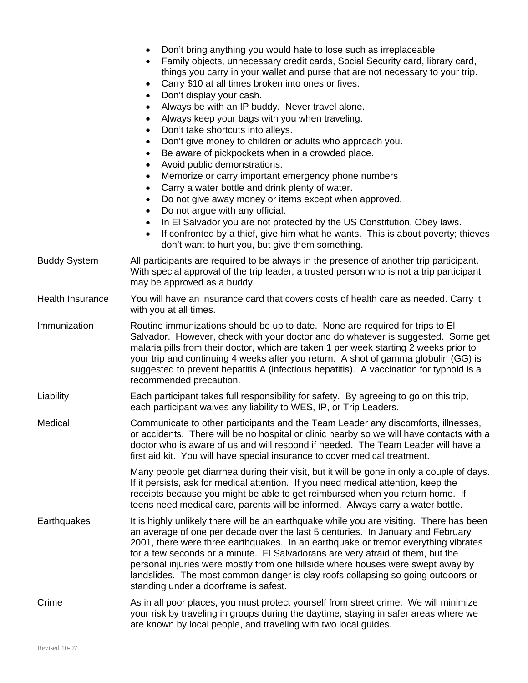|                         | Don't bring anything you would hate to lose such as irreplaceable<br>Family objects, unnecessary credit cards, Social Security card, library card,<br>things you carry in your wallet and purse that are not necessary to your trip.<br>Carry \$10 at all times broken into ones or fives.<br>$\bullet$<br>Don't display your cash.<br>$\bullet$<br>Always be with an IP buddy. Never travel alone.<br>$\bullet$<br>Always keep your bags with you when traveling.<br>$\bullet$<br>Don't take shortcuts into alleys.<br>$\bullet$<br>Don't give money to children or adults who approach you.<br>$\bullet$<br>Be aware of pickpockets when in a crowded place.<br>$\bullet$<br>Avoid public demonstrations.<br>$\bullet$<br>Memorize or carry important emergency phone numbers<br>$\bullet$<br>Carry a water bottle and drink plenty of water.<br>$\bullet$<br>Do not give away money or items except when approved.<br>$\bullet$<br>Do not argue with any official.<br>$\bullet$<br>In El Salvador you are not protected by the US Constitution. Obey laws.<br>$\bullet$<br>If confronted by a thief, give him what he wants. This is about poverty; thieves<br>$\bullet$<br>don't want to hurt you, but give them something. |
|-------------------------|---------------------------------------------------------------------------------------------------------------------------------------------------------------------------------------------------------------------------------------------------------------------------------------------------------------------------------------------------------------------------------------------------------------------------------------------------------------------------------------------------------------------------------------------------------------------------------------------------------------------------------------------------------------------------------------------------------------------------------------------------------------------------------------------------------------------------------------------------------------------------------------------------------------------------------------------------------------------------------------------------------------------------------------------------------------------------------------------------------------------------------------------------------------------------------------------------------------------------------|
| <b>Buddy System</b>     | All participants are required to be always in the presence of another trip participant.<br>With special approval of the trip leader, a trusted person who is not a trip participant<br>may be approved as a buddy.                                                                                                                                                                                                                                                                                                                                                                                                                                                                                                                                                                                                                                                                                                                                                                                                                                                                                                                                                                                                              |
| <b>Health Insurance</b> | You will have an insurance card that covers costs of health care as needed. Carry it<br>with you at all times.                                                                                                                                                                                                                                                                                                                                                                                                                                                                                                                                                                                                                                                                                                                                                                                                                                                                                                                                                                                                                                                                                                                  |
| Immunization            | Routine immunizations should be up to date. None are required for trips to El<br>Salvador. However, check with your doctor and do whatever is suggested. Some get<br>malaria pills from their doctor, which are taken 1 per week starting 2 weeks prior to<br>your trip and continuing 4 weeks after you return. A shot of gamma globulin (GG) is<br>suggested to prevent hepatitis A (infectious hepatitis). A vaccination for typhoid is a<br>recommended precaution.                                                                                                                                                                                                                                                                                                                                                                                                                                                                                                                                                                                                                                                                                                                                                         |
| Liability               | Each participant takes full responsibility for safety. By agreeing to go on this trip,<br>each participant waives any liability to WES, IP, or Trip Leaders.                                                                                                                                                                                                                                                                                                                                                                                                                                                                                                                                                                                                                                                                                                                                                                                                                                                                                                                                                                                                                                                                    |
| Medical                 | Communicate to other participants and the Team Leader any discomforts, illnesses,<br>or accidents. There will be no hospital or clinic nearby so we will have contacts with a<br>doctor who is aware of us and will respond if needed. The Team Leader will have a<br>first aid kit. You will have special insurance to cover medical treatment.                                                                                                                                                                                                                                                                                                                                                                                                                                                                                                                                                                                                                                                                                                                                                                                                                                                                                |
|                         | Many people get diarrhea during their visit, but it will be gone in only a couple of days.<br>If it persists, ask for medical attention. If you need medical attention, keep the<br>receipts because you might be able to get reimbursed when you return home. If<br>teens need medical care, parents will be informed. Always carry a water bottle.                                                                                                                                                                                                                                                                                                                                                                                                                                                                                                                                                                                                                                                                                                                                                                                                                                                                            |
| Earthquakes             | It is highly unlikely there will be an earthquake while you are visiting. There has been<br>an average of one per decade over the last 5 centuries. In January and February<br>2001, there were three earthquakes. In an earthquake or tremor everything vibrates<br>for a few seconds or a minute. El Salvadorans are very afraid of them, but the<br>personal injuries were mostly from one hillside where houses were swept away by<br>landslides. The most common danger is clay roofs collapsing so going outdoors or<br>standing under a doorframe is safest.                                                                                                                                                                                                                                                                                                                                                                                                                                                                                                                                                                                                                                                             |
| Crime                   | As in all poor places, you must protect yourself from street crime. We will minimize<br>your risk by traveling in groups during the daytime, staying in safer areas where we<br>are known by local people, and traveling with two local guides.                                                                                                                                                                                                                                                                                                                                                                                                                                                                                                                                                                                                                                                                                                                                                                                                                                                                                                                                                                                 |